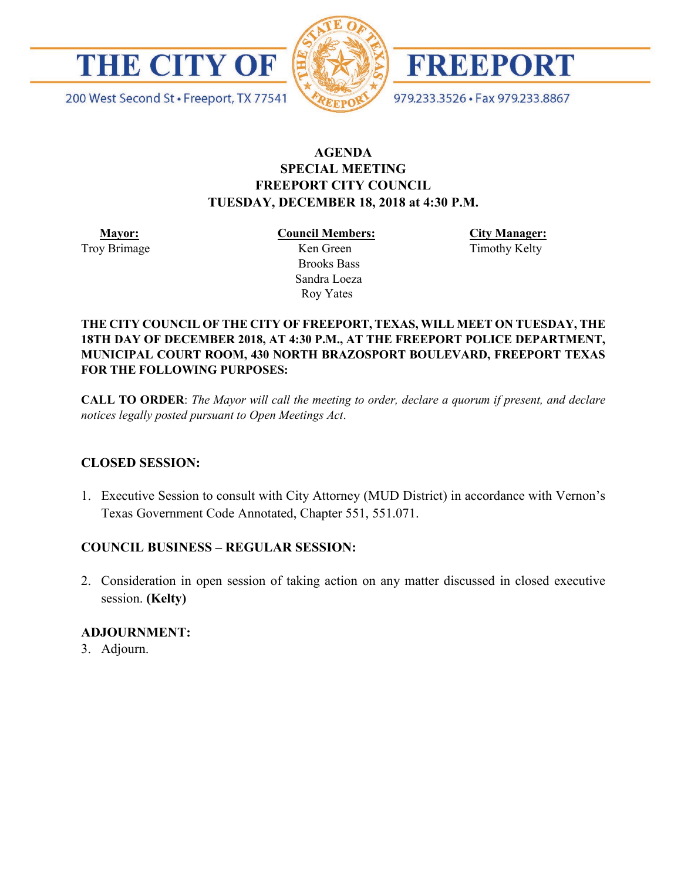

200 West Second St · Freeport, TX 77541



FREEPORT

979.233.3526 · Fax 979.233.8867

## **AGENDA SPECIAL MEETING FREEPORT CITY COUNCIL TUESDAY, DECEMBER 18, 2018 at 4:30 P.M.**

 **Mayor:** Troy Brimage **Council Members:**

Roy Yates

 Ken Green Brooks Bass Sandra Loeza **City Manager:** Timothy Kelty

#### **THE CITY COUNCIL OF THE CITY OF FREEPORT, TEXAS, WILL MEET ON TUESDAY, THE 18TH DAY OF DECEMBER 2018, AT 4:30 P.M., AT THE FREEPORT POLICE DEPARTMENT, MUNICIPAL COURT ROOM, 430 NORTH BRAZOSPORT BOULEVARD, FREEPORT TEXAS FOR THE FOLLOWING PURPOSES:**

**CALL TO ORDER**: *The Mayor will call the meeting to order, declare a quorum if present, and declare notices legally posted pursuant to Open Meetings Act*.

### **CLOSED SESSION:**

1. Executive Session to consult with City Attorney (MUD District) in accordance with Vernon's Texas Government Code Annotated, Chapter 551, 551.071.

# **COUNCIL BUSINESS – REGULAR SESSION:**

2. Consideration in open session of taking action on any matter discussed in closed executive session. **(Kelty)**

### **ADJOURNMENT:**

3. Adjourn.